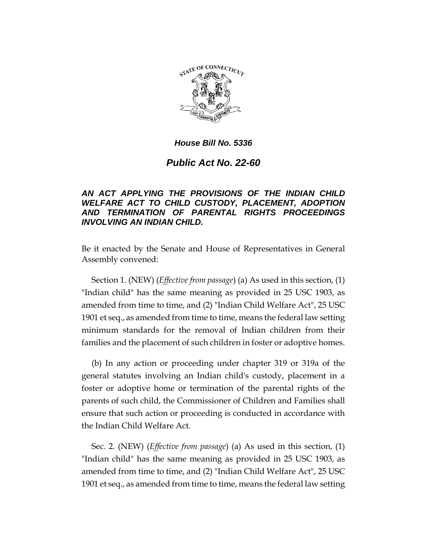

## *House Bill No. 5336*

## *Public Act No. 22-60*

## *AN ACT APPLYING THE PROVISIONS OF THE INDIAN CHILD WELFARE ACT TO CHILD CUSTODY, PLACEMENT, ADOPTION AND TERMINATION OF PARENTAL RIGHTS PROCEEDINGS INVOLVING AN INDIAN CHILD.*

Be it enacted by the Senate and House of Representatives in General Assembly convened:

Section 1. (NEW) (*Effective from passage*) (a) As used in this section, (1) "Indian child" has the same meaning as provided in 25 USC 1903, as amended from time to time, and (2) "Indian Child Welfare Act", 25 USC 1901 et seq., as amended from time to time, means the federal law setting minimum standards for the removal of Indian children from their families and the placement of such children in foster or adoptive homes.

(b) In any action or proceeding under chapter 319 or 319a of the general statutes involving an Indian child's custody, placement in a foster or adoptive home or termination of the parental rights of the parents of such child, the Commissioner of Children and Families shall ensure that such action or proceeding is conducted in accordance with the Indian Child Welfare Act.

Sec. 2. (NEW) (*Effective from passage*) (a) As used in this section, (1) "Indian child" has the same meaning as provided in 25 USC 1903, as amended from time to time, and (2) "Indian Child Welfare Act", 25 USC 1901 et seq., as amended from time to time, means the federal law setting